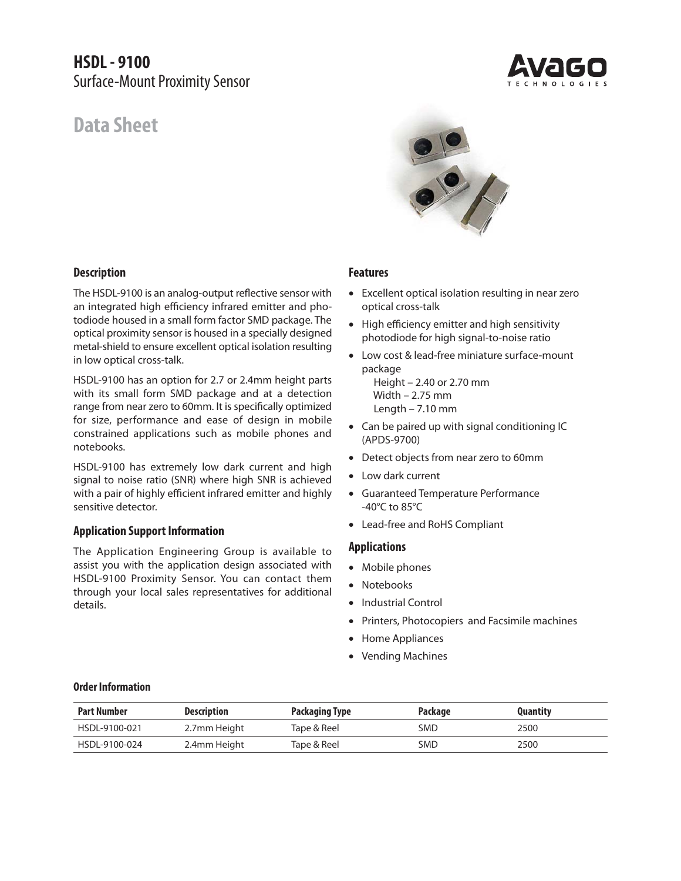**HSDL - 9100** Surface-Mount Proximity Sensor

# **Data Sheet**

**Description**



The HSDL-9100 is an analog-output reflective sensor with an integrated high efficiency infrared emitter and photodiode housed in a small form factor SMD package. The optical proximity sensor is housed in a specially designed metal-shield to ensure excellent optical isolation resulting in low optical cross-talk.

HSDL-9100 has an option for 2.7 or 2.4mm height parts with its small form SMD package and at a detection range from near zero to 60mm. It is specifically optimized for size, performance and ease of design in mobile constrained applications such as mobile phones and notebooks.

HSDL-9100 has extremely low dark current and high signal to noise ratio (SNR) where high SNR is achieved with a pair of highly efficient infrared emitter and highly sensitive detector.

# **Application Support Information**

The Application Engineering Group is available to assist you with the application design associated with HSDL-9100 Proximity Sensor. You can contact them through your local sales representatives for additional details.

# **Features**

- Excellent optical isolation resulting in near zero optical cross-talk
- High efficiency emitter and high sensitivity photodiode for high signal-to-noise ratio
- Low cost & lead-free miniature surface-mount package

 Height – 2.40 or 2.70 mm Width – 2.75 mm Length – 7.10 mm

- Can be paired up with signal conditioning IC (APDS-9700)
- Detect objects from near zero to 60mm
- Low dark current
- Guaranteed Temperature Performance -40°C to 85°C
- Lead-free and RoHS Compliant

## **Applications**

- Mobile phones
- Notebooks
- Industrial Control
- Printers, Photocopiers and Facsimile machines
- Home Appliances
- Vending Machines

# **Order Information**

| <b>Part Number</b> | <b>Description</b> | <b>Packaging Type</b> | Package    | <b>Quantity</b> |
|--------------------|--------------------|-----------------------|------------|-----------------|
| HSDL-9100-021      | 2.7mm Height       | Tape & Reel           | <b>SMD</b> | 2500            |
| HSDL-9100-024      | 2.4mm Height       | Tape & Reel           | <b>SMD</b> | 2500            |



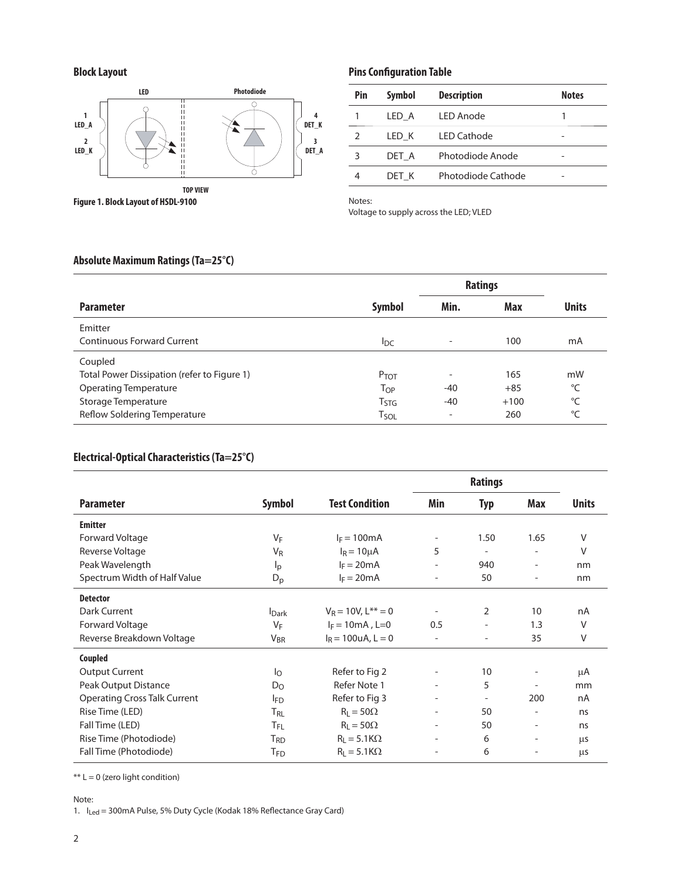# **Block Layout**



**Figure 1. Block Layout of HSDL-9100**

# **Pins Configuration Table**

| Pin           | Symbol | <b>Description</b> | <b>Notes</b> |
|---------------|--------|--------------------|--------------|
|               | LED A  | <b>LED Anode</b>   |              |
| $\mathcal{P}$ | LED K  | <b>LED Cathode</b> |              |
| 3             | DET A  | Photodiode Anode   |              |
|               | DET K  | Photodiode Cathode |              |

Notes:

Voltage to supply across the LED; VLED

# **Absolute Maximum Ratings (Ta=25°C)**

|                                             |                  | <b>Ratings</b>           |        |              |
|---------------------------------------------|------------------|--------------------------|--------|--------------|
| <b>Parameter</b>                            | <b>Symbol</b>    | Min.                     | Max    | <b>Units</b> |
| Emitter                                     |                  |                          |        |              |
| <b>Continuous Forward Current</b>           | $I_{DC}$         | $\overline{\phantom{a}}$ | 100    | mA           |
| Coupled                                     |                  |                          |        |              |
| Total Power Dissipation (refer to Figure 1) | P <sub>TOT</sub> | $\overline{\phantom{a}}$ | 165    | mW           |
| <b>Operating Temperature</b>                | Тор              | $-40$                    | $+85$  | °C           |
| Storage Temperature                         | T <sub>STG</sub> | $-40$                    | $+100$ | °C           |
| Reflow Soldering Temperature                | Tsol             | $\overline{\phantom{0}}$ | 260    | °C           |

# **Electrical-Optical Characteristics (Ta=25°C)**

|                                     |                 |                         | <b>Ratings</b>           |                          |                          |              |
|-------------------------------------|-----------------|-------------------------|--------------------------|--------------------------|--------------------------|--------------|
| <b>Parameter</b>                    | <b>Symbol</b>   | <b>Test Condition</b>   | Min                      | <b>Typ</b>               | Max                      | <b>Units</b> |
| <b>Emitter</b>                      |                 |                         |                          |                          |                          |              |
| Forward Voltage                     | $V_F$           | $I_F = 100mA$           |                          | 1.50                     | 1.65                     | V            |
| Reverse Voltage                     | $V_R$           | $I_R = 10 \mu A$        | 5                        | $\overline{\phantom{a}}$ |                          | V            |
| Peak Wavelength                     | $I_p$           | $I_F = 20mA$            |                          | 940                      |                          | nm           |
| Spectrum Width of Half Value        | $D_p$           | $I_F = 20mA$            |                          | 50                       | $\overline{\phantom{a}}$ | nm           |
| <b>Detector</b>                     |                 |                         |                          |                          |                          |              |
| Dark Current                        | <b>Dark</b>     | $V_R = 10V, L^{**} = 0$ | $\overline{\phantom{a}}$ | 2                        | 10                       | nA           |
| Forward Voltage                     | $V_F$           | $I_F = 10mA$ , L=0      | 0.5                      |                          | 1.3                      | V            |
| Reverse Breakdown Voltage           | $V_{BR}$        | $I_R = 100$ uA, L = 0   |                          |                          | 35                       | $\vee$       |
| Coupled                             |                 |                         |                          |                          |                          |              |
| <b>Output Current</b>               | Ιo              | Refer to Fig 2          | $\overline{\phantom{a}}$ | 10                       |                          | μA           |
| Peak Output Distance                | $D_{\rm O}$     | Refer Note 1            | $\overline{\phantom{0}}$ | 5                        |                          | mm           |
| <b>Operating Cross Talk Current</b> | <b>FD</b>       | Refer to Fig 3          |                          |                          | 200                      | nA           |
| Rise Time (LED)                     | T <sub>RL</sub> | $R_1 = 50\Omega$        | $\overline{\phantom{a}}$ | 50                       | $\qquad \qquad -$        | ns           |
| Fall Time (LED)                     | $T_{FL}$        | $R_1 = 50\Omega$        | $\overline{\phantom{a}}$ | 50                       | $\overline{a}$           | ns.          |
| Rise Time (Photodiode)              | T <sub>RD</sub> | $R_1 = 5.1 K\Omega$     |                          | 6                        | $\overline{\phantom{a}}$ | μs           |
| Fall Time (Photodiode)              | T <sub>FD</sub> | $R_1 = 5.1 K\Omega$     |                          | 6                        |                          | μs           |

\*\* L = 0 (zero light condition)

Note:

1.  $I_{\text{Led}} = 300 \text{mA}$  Pulse, 5% Duty Cycle (Kodak 18% Reflectance Gray Card)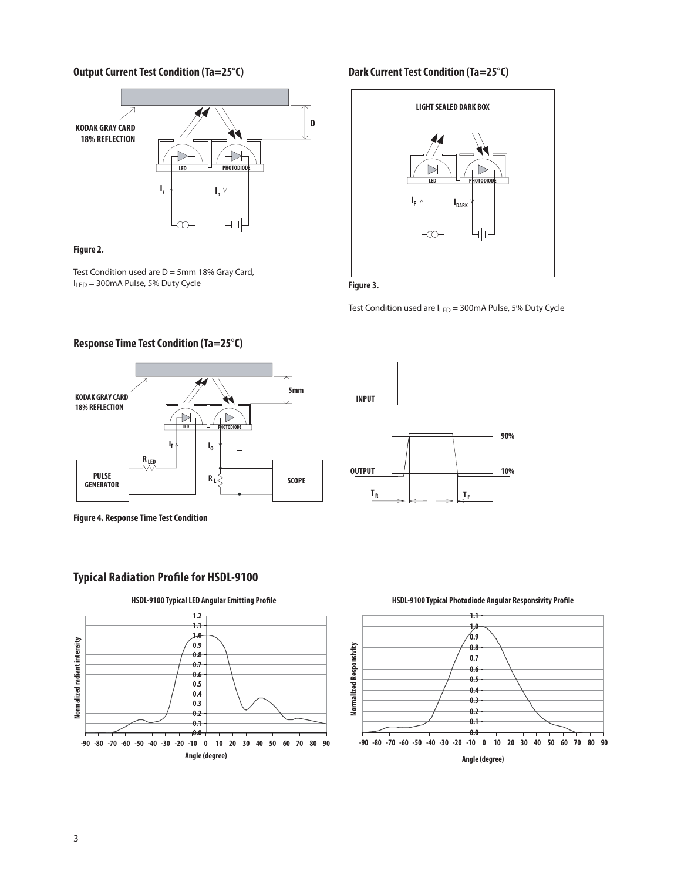# **Output Current Test Condition (Ta=25°C) Dark Current Test Condition (Ta=25°C)**



#### **Figure 2.**

Test Condition used are  $D = 5$ mm 18% Gray Card, ILED = 300mA Pulse, 5% Duty Cycle

**Response Time Test Condition (Ta=25°C)**



# **Figure 3.**

Test Condition used are ILED = 300mA Pulse, 5% Duty Cycle



**Figure 4. Response Time Test Condition** 

# **Typical Radiation Profile for HSDL-9100**







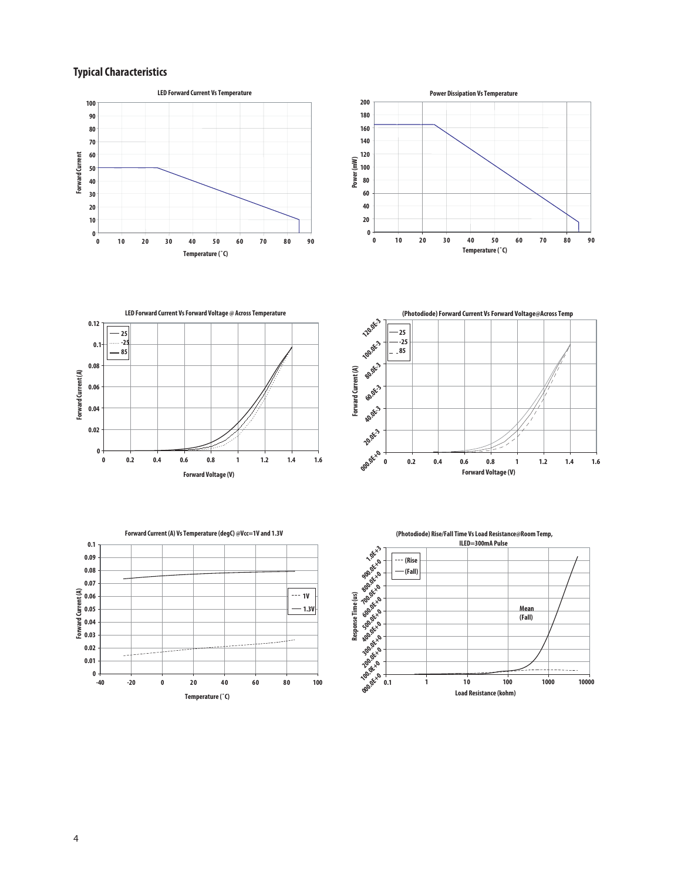# **Typical Characteristics**











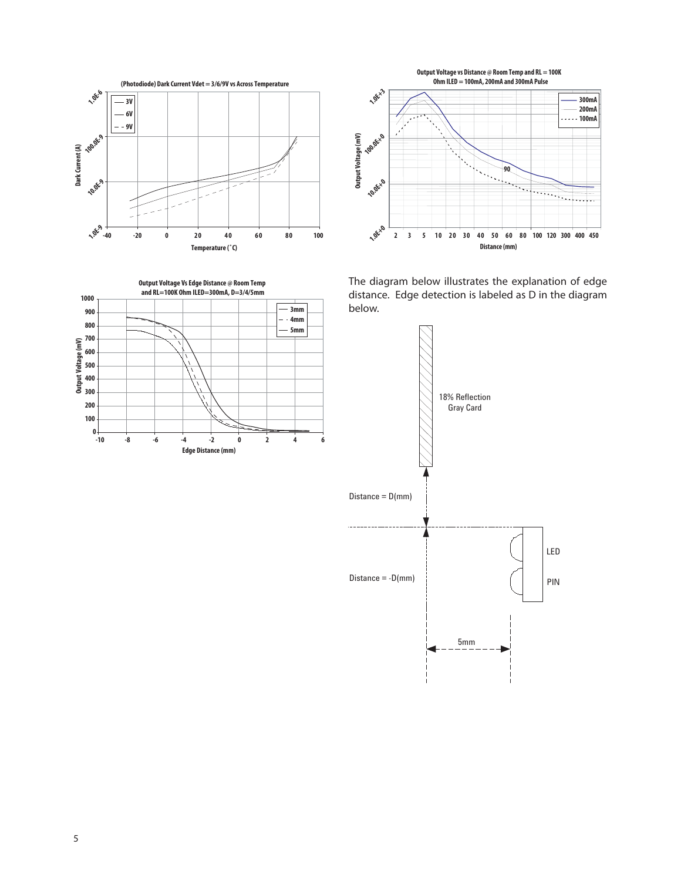





The diagram below illustrates the explanation of edge distance. Edge detection is labeled as D in the diagram below.

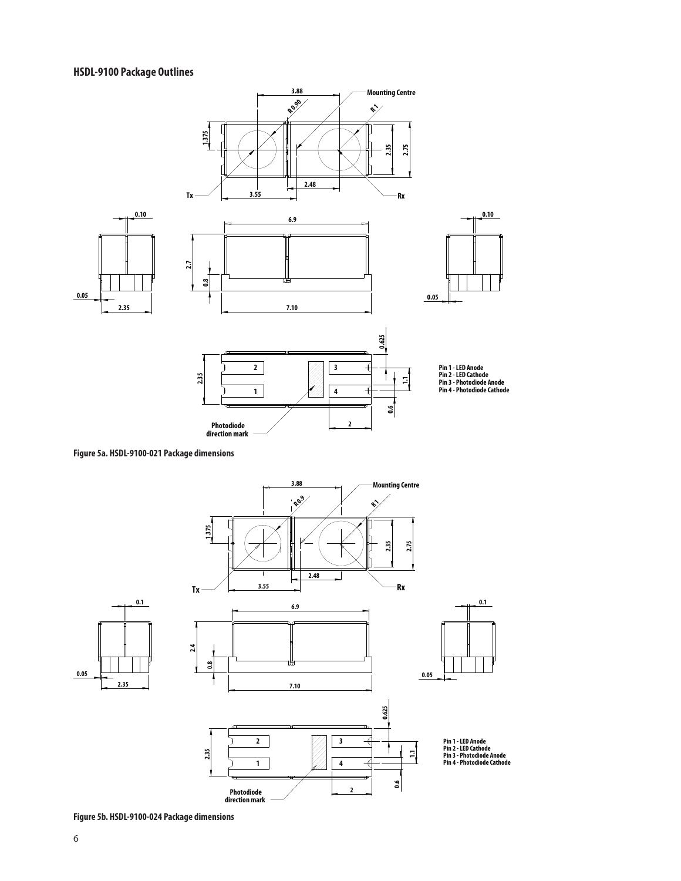# **HSDL-9100 Package Outlines**



**Figure 5a. HSDL-9100-021 Package dimensions** 



**Figure 5b. HSDL-9100-024 Package dimensions**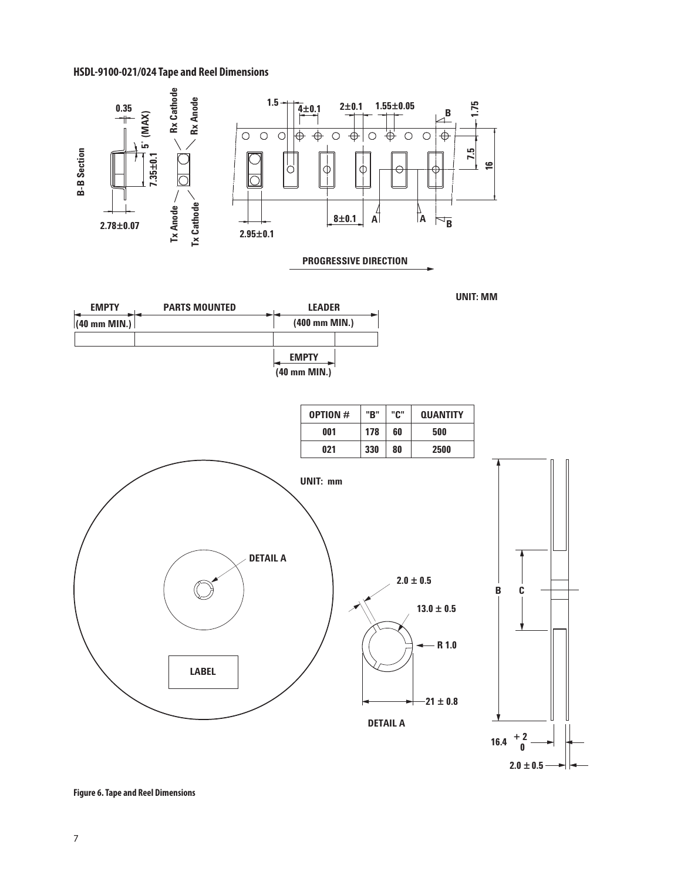# **HSDL-9100-021/024 Tape and Reel Dimensions**



**Figure 6. Tape and Reel Dimensions**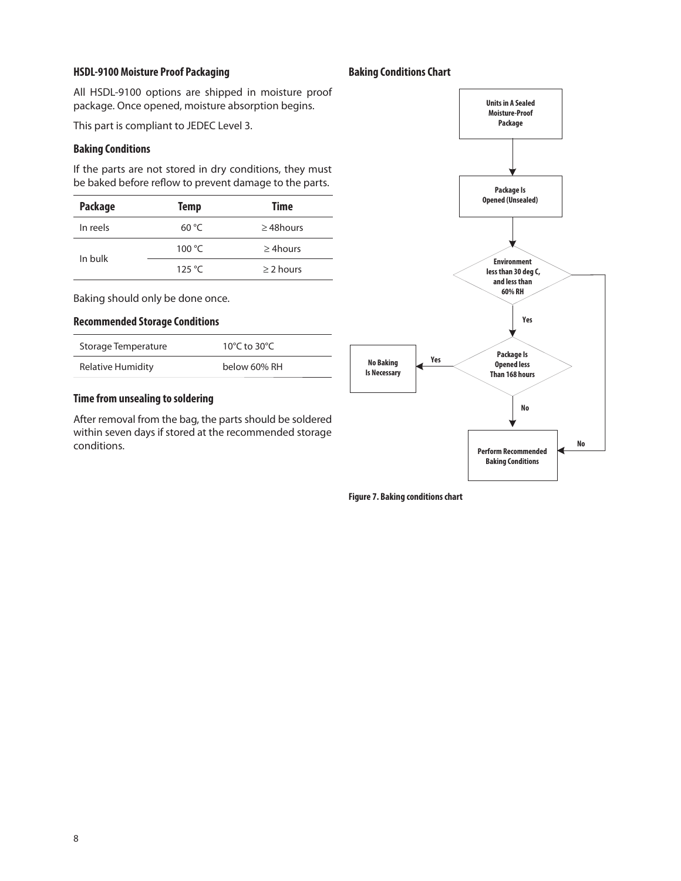#### **HSDL-9100 Moisture Proof Packaging <b>Baking Conditions Chart**

All HSDL-9100 options are shipped in moisture proof package. Once opened, moisture absorption begins.

This part is compliant to JEDEC Level 3.

#### **Baking Conditions**

If the parts are not stored in dry conditions, they must be baked before reflow to prevent damage to the parts.

| Package  | <b>Temp</b>     | Time            |
|----------|-----------------|-----------------|
| In reels | 60 °C           | $\geq$ 48 hours |
| In bulk  | 100 $\degree$ C | $\geq$ 4 hours  |
|          | 125 $\degree$ C | $\geq$ 2 hours  |

Baking should only be done once.

#### **Recommended Storage Conditions**

| Storage Temperature | 10°C to 30°C. |
|---------------------|---------------|
| Relative Humidity   | below 60% RH  |

# **Time from unsealing to soldering**

After removal from the bag, the parts should be soldered within seven days if stored at the recommended storage conditions.



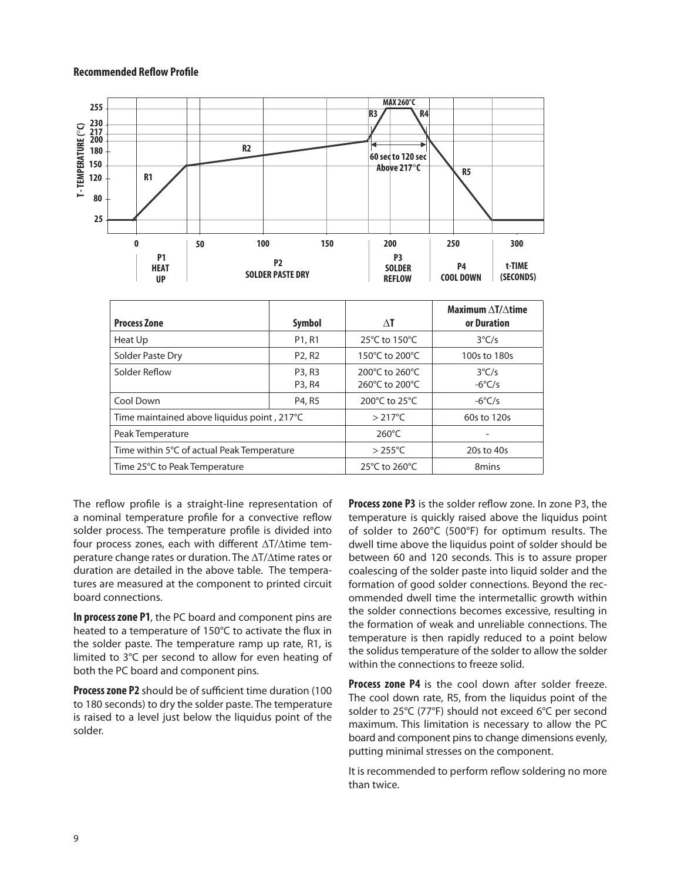#### **Recommended Reflow Profile**



| <b>Process Zone</b>                         | Symbol                          | ΔT                               | Maximum $\Delta T/\Delta t$ ime<br>or Duration |
|---------------------------------------------|---------------------------------|----------------------------------|------------------------------------------------|
| Heat Up                                     | P <sub>1</sub> , R <sub>1</sub> | 25°C to 150°C                    | $3^{\circ}$ C/s                                |
| Solder Paste Dry                            | P <sub>2</sub> , R <sub>2</sub> | 150°C to 200°C                   | 100s to 180s                                   |
| Solder Reflow                               | P3, R3<br>P3, R4                | 200°C to 260°C<br>260°C to 200°C | $3^{\circ}$ C/s<br>$-6^{\circ}$ C/s            |
| Cool Down                                   | P4, R5                          | 200°C to 25°C                    | $-6^{\circ}$ C/s                               |
| Time maintained above liquidus point, 217°C | $>217^{\circ}$ C                | 60s to 120s                      |                                                |
| Peak Temperature                            |                                 | $260^{\circ}$ C                  |                                                |
| Time within 5°C of actual Peak Temperature  |                                 | $>255^{\circ}$ C                 | 20s to 40s                                     |
| Time 25°C to Peak Temperature               | 25°C to 260°C                   | 8mins                            |                                                |

The reflow profile is a straight-line representation of a nominal temperature profile for a convective reflow solder process. The temperature profile is divided into four process zones, each with different  $\Delta T/\Delta t$ ime temperature change rates or duration. The  $\Delta T/\Delta t$ ime rates or duration are detailed in the above table. The temperatures are measured at the component to printed circuit board connections.

**In process zone P1**, the PC board and component pins are heated to a temperature of 150°C to activate the flux in the solder paste. The temperature ramp up rate, R1, is limited to 3°C per second to allow for even heating of both the PC board and component pins.

**Process zone P2** should be of sufficient time duration (100 to 180 seconds) to dry the solder paste. The temperature is raised to a level just below the liquidus point of the solder.

**Process zone P3** is the solder reflow zone. In zone P3, the temperature is quickly raised above the liquidus point of solder to 260°C (500°F) for optimum results. The dwell time above the liquidus point of solder should be between 60 and 120 seconds. This is to assure proper coalescing of the solder paste into liquid solder and the formation of good solder connections. Beyond the recommended dwell time the intermetallic growth within the solder connections becomes excessive, resulting in the formation of weak and unreliable connections. The temperature is then rapidly reduced to a point below the solidus temperature of the solder to allow the solder within the connections to freeze solid.

**Process zone P4** is the cool down after solder freeze. The cool down rate, R5, from the liquidus point of the solder to 25°C (77°F) should not exceed 6°C per second maximum. This limitation is necessary to allow the PC board and component pins to change dimensions evenly, putting minimal stresses on the component.

It is recommended to perform reflow soldering no more than twice.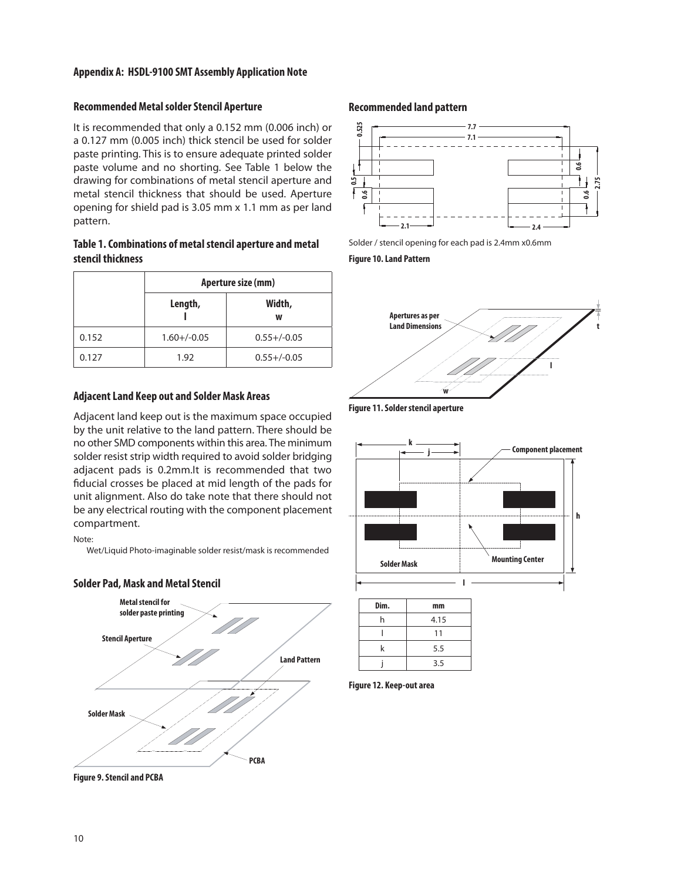#### **Appendix A: HSDL-9100 SMT Assembly Application Note**

# **Recommended Metal solder Stencil Aperture**

It is recommended that only a 0.152 mm (0.006 inch) or a 0.127 mm (0.005 inch) thick stencil be used for solder paste printing. This is to ensure adequate printed solder paste volume and no shorting. See Table 1 below the drawing for combinations of metal stencil aperture and metal stencil thickness that should be used. Aperture opening for shield pad is 3.05 mm x 1.1 mm as per land pattern.

# **Table 1. Combinations of metal stencil aperture and metal stencil thickness**

|       | Aperture size (mm) |                  |  |
|-------|--------------------|------------------|--|
|       | Length,            | Width,<br>w      |  |
| 0.152 | $1.60 + / -0.05$   | $0.55 + (-0.05)$ |  |
| 0.127 | 1.92               | $0.55 + (-0.05)$ |  |

#### **Adjacent Land Keep out and Solder Mask Areas**

Adjacent land keep out is the maximum space occupied by the unit relative to the land pattern. There should be no other SMD components within this area. The minimum solder resist strip width required to avoid solder bridging adjacent pads is 0.2mm.It is recommended that two fiducial crosses be placed at mid length of the pads for unit alignment. Also do take note that there should not be any electrical routing with the component placement compartment.

#### Note:

Wet/Liquid Photo-imaginable solder resist/mask is recommended



## **Solder Pad, Mask and Metal Stencil**

#### **Recommended land pattern**



Solder / stencil opening for each pad is 2.4mm x0.6mm

**Figure 10. Land Pattern**



**Figure 11. Solder stencil aperture**



| Dim. | mm   |  |  |
|------|------|--|--|
| h    | 4.15 |  |  |
|      | 11   |  |  |
| k    | 5.5  |  |  |
|      | 3.5  |  |  |

**Figure 12. Keep-out area**

**Figure 9. Stencil and PCBA**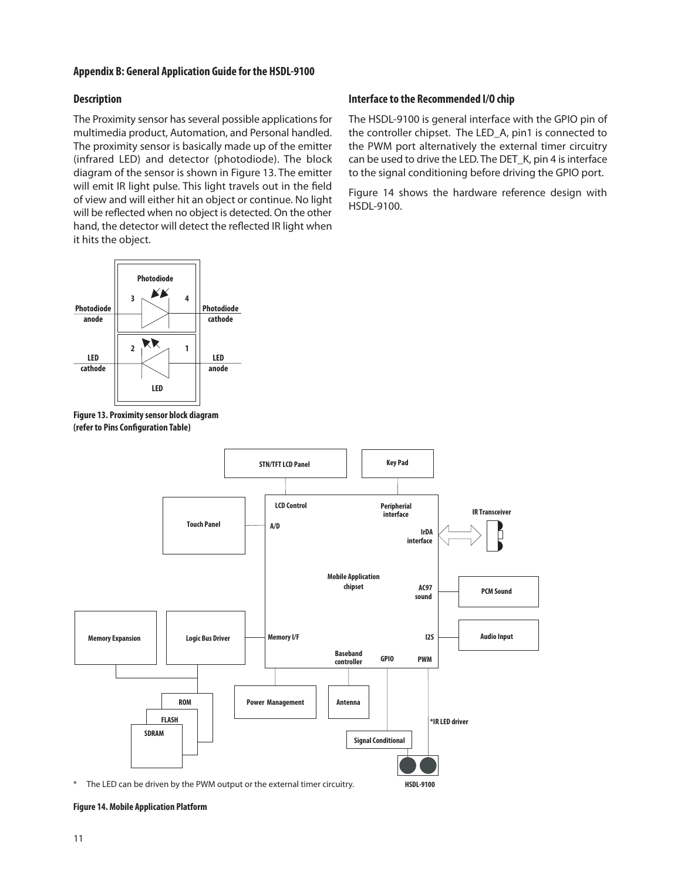#### **Appendix B: General Application Guide for the HSDL-9100**

#### **Description**

The Proximity sensor has several possible applications for multimedia product, Automation, and Personal handled. The proximity sensor is basically made up of the emitter (infrared LED) and detector (photodiode). The block diagram of the sensor is shown in Figure 13. The emitter will emit IR light pulse. This light travels out in the field of view and will either hit an object or continue. No light will be reflected when no object is detected. On the other hand, the detector will detect the reflected IR light when it hits the object.



**Figure 13. Proximity sensor block diagram (refer to Pins Configuration Table)**

#### **Interface to the Recommended I/O chip**

The HSDL-9100 is general interface with the GPIO pin of the controller chipset. The LED\_A, pin1 is connected to the PWM port alternatively the external timer circuitry can be used to drive the LED. The DET\_K, pin 4 is interface to the signal conditioning before driving the GPIO port.

Figure 14 shows the hardware reference design with HSDL-9100.



\* The LED can be driven by the PWM output or the external timer circuitry.

#### **Figure 14. Mobile Application Platform**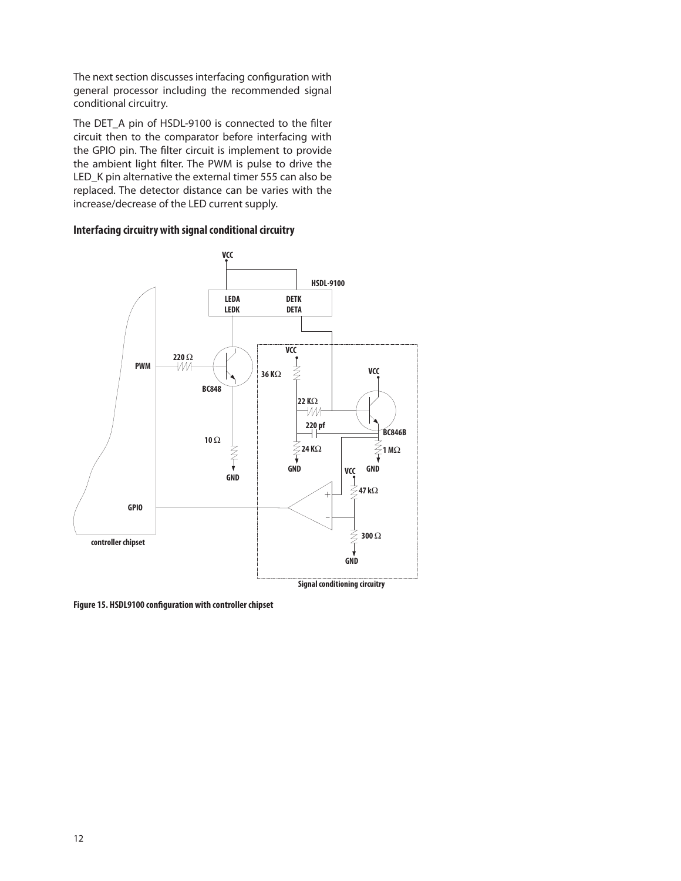The next section discusses interfacing configuration with general processor including the recommended signal conditional circuitry.

The DET\_A pin of HSDL-9100 is connected to the filter circuit then to the comparator before interfacing with the GPIO pin. The filter circuit is implement to provide the ambient light filter. The PWM is pulse to drive the LED\_K pin alternative the external timer 555 can also be replaced. The detector distance can be varies with the increase/decrease of the LED current supply.

#### **Interfacing circuitry with signal conditional circuitry**



**Figure 15. HSDL9100 configuration with controller chipset**